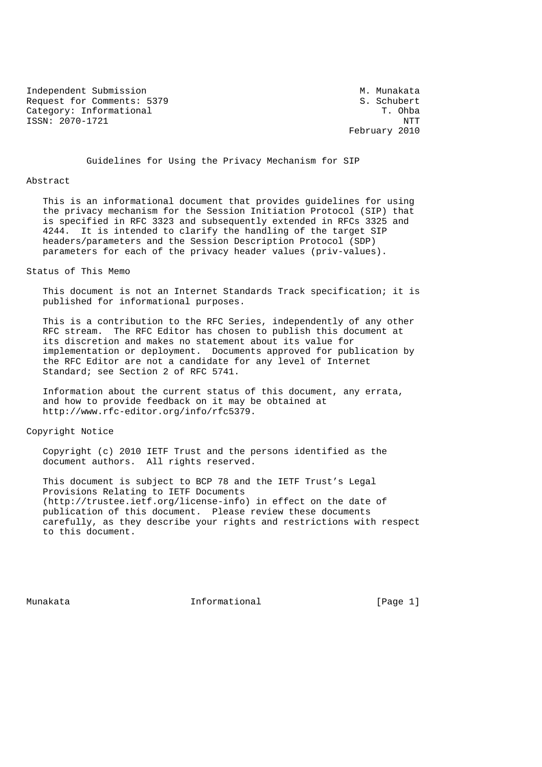Independent Submission M. Munakata Request for Comments: 5379 S. Schubert Category: Informational T. Ohba ISSN: 2070-1721 NTT

February 2010

Guidelines for Using the Privacy Mechanism for SIP

#### Abstract

 This is an informational document that provides guidelines for using the privacy mechanism for the Session Initiation Protocol (SIP) that is specified in RFC 3323 and subsequently extended in RFCs 3325 and 4244. It is intended to clarify the handling of the target SIP headers/parameters and the Session Description Protocol (SDP) parameters for each of the privacy header values (priv-values).

#### Status of This Memo

 This document is not an Internet Standards Track specification; it is published for informational purposes.

 This is a contribution to the RFC Series, independently of any other RFC stream. The RFC Editor has chosen to publish this document at its discretion and makes no statement about its value for implementation or deployment. Documents approved for publication by the RFC Editor are not a candidate for any level of Internet Standard; see Section 2 of RFC 5741.

 Information about the current status of this document, any errata, and how to provide feedback on it may be obtained at http://www.rfc-editor.org/info/rfc5379.

#### Copyright Notice

 Copyright (c) 2010 IETF Trust and the persons identified as the document authors. All rights reserved.

 This document is subject to BCP 78 and the IETF Trust's Legal Provisions Relating to IETF Documents (http://trustee.ietf.org/license-info) in effect on the date of publication of this document. Please review these documents carefully, as they describe your rights and restrictions with respect to this document.

Munakata **Informational Informational** [Page 1]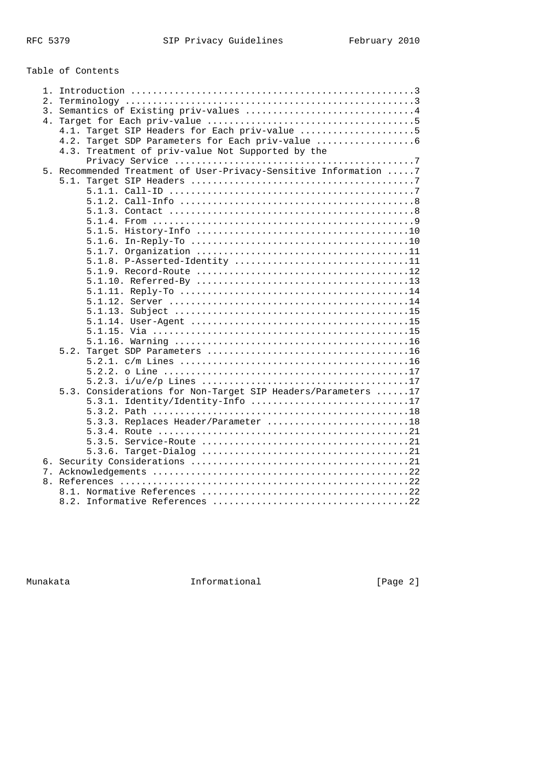Table of Contents

| $1$ . |                                                                  |
|-------|------------------------------------------------------------------|
|       |                                                                  |
|       |                                                                  |
| 4.    |                                                                  |
|       | 4.1. Target SIP Headers for Each priv-value 5                    |
|       | 4.2. Target SDP Parameters for Each priv-value                   |
|       | 4.3. Treatment of priv-value Not Supported by the                |
|       |                                                                  |
|       | 5. Recommended Treatment of User-Privacy-Sensitive Information 7 |
|       |                                                                  |
|       |                                                                  |
|       |                                                                  |
|       |                                                                  |
|       |                                                                  |
|       |                                                                  |
|       |                                                                  |
|       |                                                                  |
|       | 5.1.8. P-Asserted-Identity 11                                    |
|       |                                                                  |
|       |                                                                  |
|       |                                                                  |
|       |                                                                  |
|       |                                                                  |
|       |                                                                  |
|       |                                                                  |
|       |                                                                  |
|       |                                                                  |
|       | 5.2.                                                             |
|       |                                                                  |
|       |                                                                  |
|       |                                                                  |
|       | 5.3. Considerations for Non-Target SIP Headers/Parameters 17     |
|       | 5.3.1. Identity/Identity-Info 17                                 |
|       |                                                                  |
|       | 5.3.3. Replaces Header/Parameter 18                              |
|       |                                                                  |
|       |                                                                  |
|       |                                                                  |
|       |                                                                  |
|       |                                                                  |
|       |                                                                  |
|       |                                                                  |
|       |                                                                  |
|       |                                                                  |

Munakata 1989 - Informational 1989 - Informational 1989 - Informational 1989 - IPage 2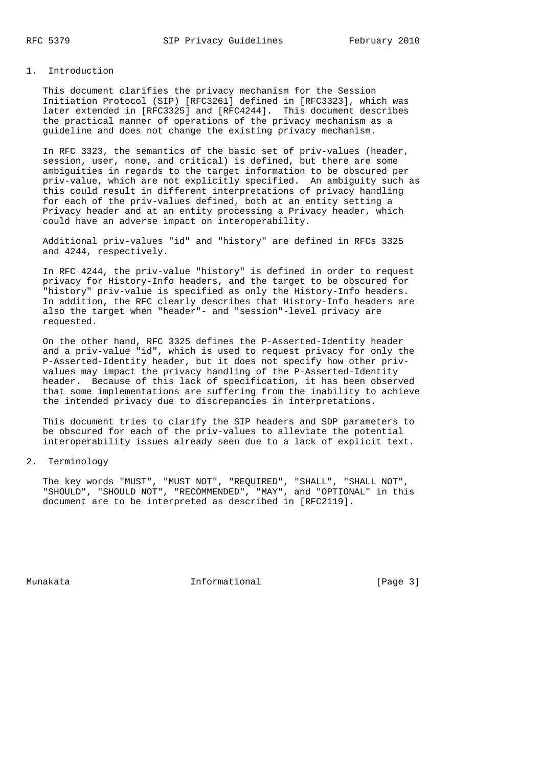# 1. Introduction

 This document clarifies the privacy mechanism for the Session Initiation Protocol (SIP) [RFC3261] defined in [RFC3323], which was later extended in [RFC3325] and [RFC4244]. This document describes the practical manner of operations of the privacy mechanism as a guideline and does not change the existing privacy mechanism.

 In RFC 3323, the semantics of the basic set of priv-values (header, session, user, none, and critical) is defined, but there are some ambiguities in regards to the target information to be obscured per priv-value, which are not explicitly specified. An ambiguity such as this could result in different interpretations of privacy handling for each of the priv-values defined, both at an entity setting a Privacy header and at an entity processing a Privacy header, which could have an adverse impact on interoperability.

 Additional priv-values "id" and "history" are defined in RFCs 3325 and 4244, respectively.

 In RFC 4244, the priv-value "history" is defined in order to request privacy for History-Info headers, and the target to be obscured for "history" priv-value is specified as only the History-Info headers. In addition, the RFC clearly describes that History-Info headers are also the target when "header"- and "session"-level privacy are requested.

 On the other hand, RFC 3325 defines the P-Asserted-Identity header and a priv-value "id", which is used to request privacy for only the P-Asserted-Identity header, but it does not specify how other priv values may impact the privacy handling of the P-Asserted-Identity header. Because of this lack of specification, it has been observed that some implementations are suffering from the inability to achieve the intended privacy due to discrepancies in interpretations.

 This document tries to clarify the SIP headers and SDP parameters to be obscured for each of the priv-values to alleviate the potential interoperability issues already seen due to a lack of explicit text.

# 2. Terminology

 The key words "MUST", "MUST NOT", "REQUIRED", "SHALL", "SHALL NOT", "SHOULD", "SHOULD NOT", "RECOMMENDED", "MAY", and "OPTIONAL" in this document are to be interpreted as described in [RFC2119].

Munakata **Informational Informational** [Page 3]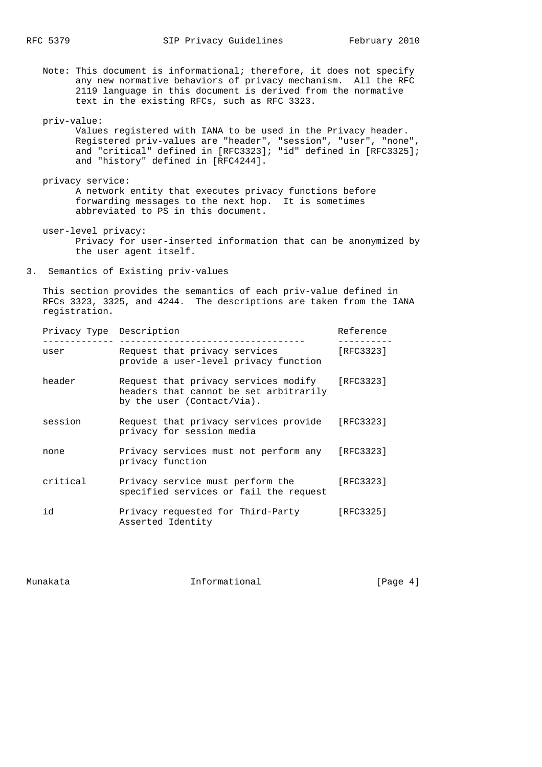Note: This document is informational; therefore, it does not specify any new normative behaviors of privacy mechanism. All the RFC 2119 language in this document is derived from the normative text in the existing RFCs, such as RFC 3323.

priv-value:

 Values registered with IANA to be used in the Privacy header. Registered priv-values are "header", "session", "user", "none", and "critical" defined in [RFC3323]; "id" defined in [RFC3325]; and "history" defined in [RFC4244].

 privacy service: A network entity that executes privacy functions before forwarding messages to the next hop. It is sometimes abbreviated to PS in this document.

 user-level privacy: Privacy for user-inserted information that can be anonymized by the user agent itself.

3. Semantics of Existing priv-values

 This section provides the semantics of each priv-value defined in RFCs 3323, 3325, and 4244. The descriptions are taken from the IANA registration.

| Privacy Type Description |                                                                                                              | Reference |
|--------------------------|--------------------------------------------------------------------------------------------------------------|-----------|
| user                     | Request that privacy services<br>provide a user-level privacy function                                       | [RFC3323] |
| header                   | Request that privacy services modify<br>headers that cannot be set arbitrarily<br>by the user (Contact/Via). | [RFC3323] |
| session                  | Request that privacy services provide<br>privacy for session media                                           | [RFC3323] |
| none                     | Privacy services must not perform any<br>privacy function                                                    | [RFC3323] |
| critical                 | Privacy service must perform the<br>specified services or fail the request                                   | [RFC3323] |
| id                       | Privacy requested for Third-Party<br>Asserted Identity                                                       | [RFC3325] |

Munakata **Informational Informational Informational** [Page 4]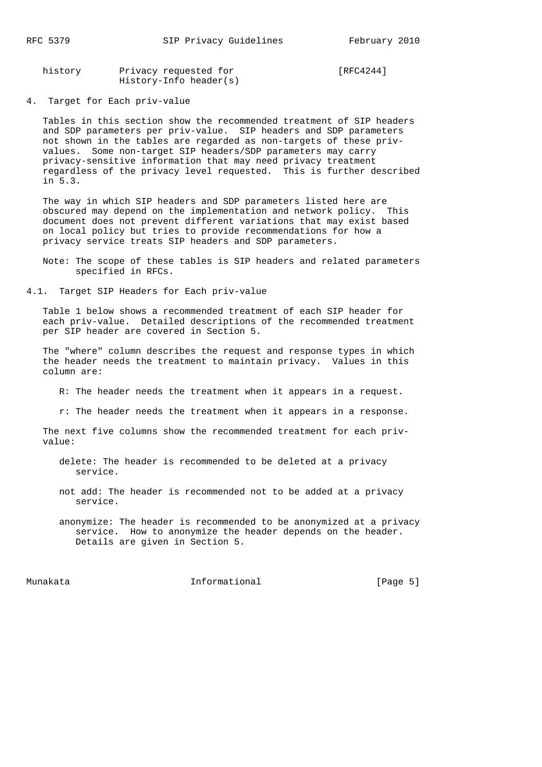| history | Privacy requested for  | [RFC4244] |
|---------|------------------------|-----------|
|         | History-Info header(s) |           |

4. Target for Each priv-value

 Tables in this section show the recommended treatment of SIP headers and SDP parameters per priv-value. SIP headers and SDP parameters not shown in the tables are regarded as non-targets of these priv values. Some non-target SIP headers/SDP parameters may carry privacy-sensitive information that may need privacy treatment regardless of the privacy level requested. This is further described in 5.3.

 The way in which SIP headers and SDP parameters listed here are obscured may depend on the implementation and network policy. This document does not prevent different variations that may exist based on local policy but tries to provide recommendations for how a privacy service treats SIP headers and SDP parameters.

- Note: The scope of these tables is SIP headers and related parameters specified in RFCs.
- 4.1. Target SIP Headers for Each priv-value

 Table 1 below shows a recommended treatment of each SIP header for each priv-value. Detailed descriptions of the recommended treatment per SIP header are covered in Section 5.

 The "where" column describes the request and response types in which the header needs the treatment to maintain privacy. Values in this column are:

- R: The header needs the treatment when it appears in a request.
- r: The header needs the treatment when it appears in a response.

 The next five columns show the recommended treatment for each priv value:

- delete: The header is recommended to be deleted at a privacy service.
- not add: The header is recommended not to be added at a privacy service.
- anonymize: The header is recommended to be anonymized at a privacy service. How to anonymize the header depends on the header. Details are given in Section 5.

Munakata **Informational Informational Informational** [Page 5]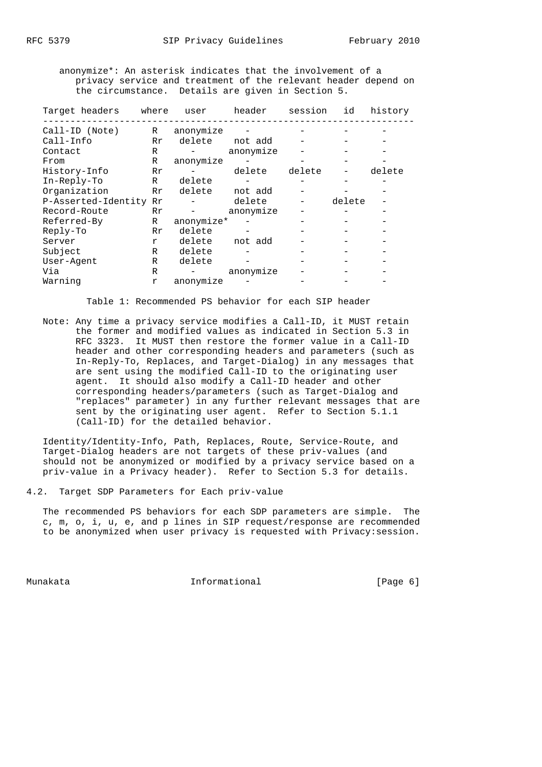anonymize\*: An asterisk indicates that the involvement of a privacy service and treatment of the relevant header depend on the circumstance. Details are given in Section 5.

| Target headers      | where        | user       | header    | session | id     | history |
|---------------------|--------------|------------|-----------|---------|--------|---------|
| Call-ID (Note)      | R            | anonymize  |           |         |        |         |
| Call-Info           | Rr           | delete     | not add   |         |        |         |
| Contact             | R            |            | anonymize |         |        |         |
| From                | R            | anonymize  |           |         |        |         |
| History-Info        | Rr           |            | delete    | delete  |        | delete  |
| $In-Reply-To$       | $\mathbb{R}$ | delete     |           |         |        |         |
| Organization        | Rr           | delete     | not add   |         |        |         |
| P-Asserted-Identity | Rr           |            | delete    |         | delete |         |
| Record-Route        | Rr           |            | anonymize |         |        |         |
| Referred-By         | R            | anonymize* |           |         |        |         |
| Reply-To            | Rr           | delete     |           |         |        |         |
| Server              | r            | delete     | not add   |         |        |         |
| Subject             | R            | delete     |           |         |        |         |
| User-Agent          | R            | delete     |           |         |        |         |
| Via                 | R            |            | anonymize |         |        |         |
| Warning             | r            | anonymize  |           |         |        |         |

Table 1: Recommended PS behavior for each SIP header

 Note: Any time a privacy service modifies a Call-ID, it MUST retain the former and modified values as indicated in Section 5.3 in RFC 3323. It MUST then restore the former value in a Call-ID header and other corresponding headers and parameters (such as In-Reply-To, Replaces, and Target-Dialog) in any messages that are sent using the modified Call-ID to the originating user agent. It should also modify a Call-ID header and other corresponding headers/parameters (such as Target-Dialog and "replaces" parameter) in any further relevant messages that are sent by the originating user agent. Refer to Section 5.1.1 (Call-ID) for the detailed behavior.

 Identity/Identity-Info, Path, Replaces, Route, Service-Route, and Target-Dialog headers are not targets of these priv-values (and should not be anonymized or modified by a privacy service based on a priv-value in a Privacy header). Refer to Section 5.3 for details.

4.2. Target SDP Parameters for Each priv-value

 The recommended PS behaviors for each SDP parameters are simple. The c, m, o, i, u, e, and p lines in SIP request/response are recommended to be anonymized when user privacy is requested with Privacy:session.

Munakata  $I_n$  Informational  $I_n$  [Page 6]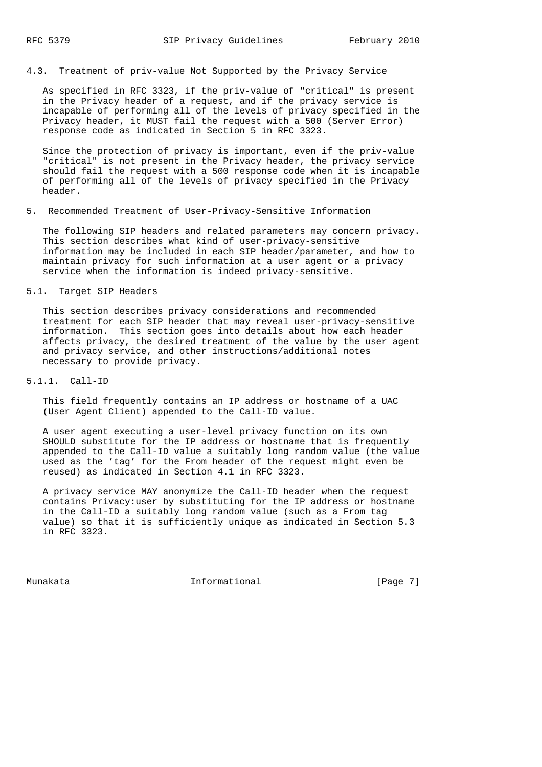# 4.3. Treatment of priv-value Not Supported by the Privacy Service

 As specified in RFC 3323, if the priv-value of "critical" is present in the Privacy header of a request, and if the privacy service is incapable of performing all of the levels of privacy specified in the Privacy header, it MUST fail the request with a 500 (Server Error) response code as indicated in Section 5 in RFC 3323.

 Since the protection of privacy is important, even if the priv-value "critical" is not present in the Privacy header, the privacy service should fail the request with a 500 response code when it is incapable of performing all of the levels of privacy specified in the Privacy header.

#### 5. Recommended Treatment of User-Privacy-Sensitive Information

 The following SIP headers and related parameters may concern privacy. This section describes what kind of user-privacy-sensitive information may be included in each SIP header/parameter, and how to maintain privacy for such information at a user agent or a privacy service when the information is indeed privacy-sensitive.

# 5.1. Target SIP Headers

 This section describes privacy considerations and recommended treatment for each SIP header that may reveal user-privacy-sensitive information. This section goes into details about how each header affects privacy, the desired treatment of the value by the user agent and privacy service, and other instructions/additional notes necessary to provide privacy.

# 5.1.1. Call-ID

 This field frequently contains an IP address or hostname of a UAC (User Agent Client) appended to the Call-ID value.

 A user agent executing a user-level privacy function on its own SHOULD substitute for the IP address or hostname that is frequently appended to the Call-ID value a suitably long random value (the value used as the 'tag' for the From header of the request might even be reused) as indicated in Section 4.1 in RFC 3323.

 A privacy service MAY anonymize the Call-ID header when the request contains Privacy:user by substituting for the IP address or hostname in the Call-ID a suitably long random value (such as a From tag value) so that it is sufficiently unique as indicated in Section 5.3 in RFC 3323.

Munakata  $I_n$  Informational  $I_n$  [Page 7]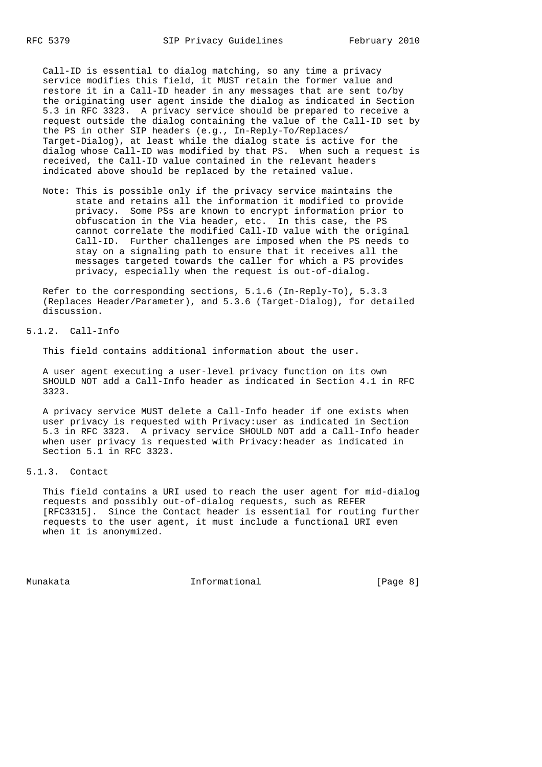Call-ID is essential to dialog matching, so any time a privacy service modifies this field, it MUST retain the former value and restore it in a Call-ID header in any messages that are sent to/by the originating user agent inside the dialog as indicated in Section 5.3 in RFC 3323. A privacy service should be prepared to receive a request outside the dialog containing the value of the Call-ID set by the PS in other SIP headers (e.g., In-Reply-To/Replaces/ Target-Dialog), at least while the dialog state is active for the dialog whose Call-ID was modified by that PS. When such a request is received, the Call-ID value contained in the relevant headers indicated above should be replaced by the retained value.

 Note: This is possible only if the privacy service maintains the state and retains all the information it modified to provide privacy. Some PSs are known to encrypt information prior to obfuscation in the Via header, etc. In this case, the PS cannot correlate the modified Call-ID value with the original Call-ID. Further challenges are imposed when the PS needs to stay on a signaling path to ensure that it receives all the messages targeted towards the caller for which a PS provides privacy, especially when the request is out-of-dialog.

 Refer to the corresponding sections, 5.1.6 (In-Reply-To), 5.3.3 (Replaces Header/Parameter), and 5.3.6 (Target-Dialog), for detailed discussion.

5.1.2. Call-Info

This field contains additional information about the user.

 A user agent executing a user-level privacy function on its own SHOULD NOT add a Call-Info header as indicated in Section 4.1 in RFC 3323.

 A privacy service MUST delete a Call-Info header if one exists when user privacy is requested with Privacy:user as indicated in Section 5.3 in RFC 3323. A privacy service SHOULD NOT add a Call-Info header when user privacy is requested with Privacy:header as indicated in Section 5.1 in RFC 3323.

# 5.1.3. Contact

 This field contains a URI used to reach the user agent for mid-dialog requests and possibly out-of-dialog requests, such as REFER [RFC3315]. Since the Contact header is essential for routing further requests to the user agent, it must include a functional URI even when it is anonymized.

Munakata **Informational Informational Informational** [Page 8]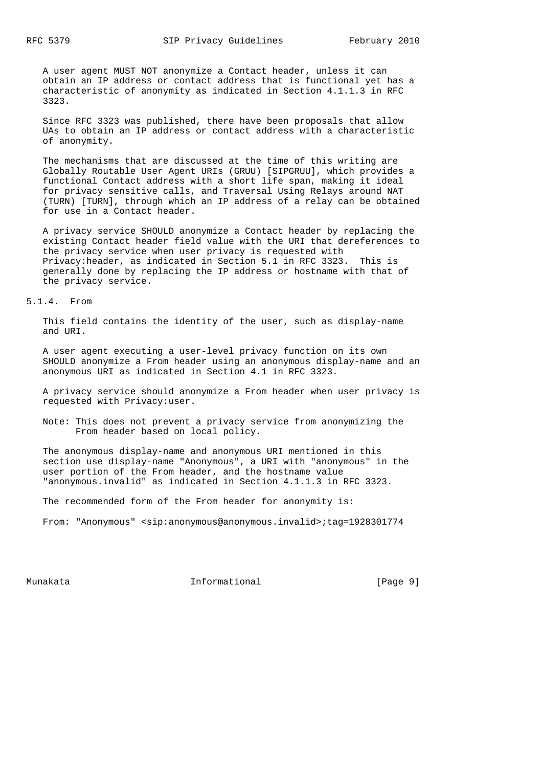A user agent MUST NOT anonymize a Contact header, unless it can obtain an IP address or contact address that is functional yet has a characteristic of anonymity as indicated in Section 4.1.1.3 in RFC 3323.

 Since RFC 3323 was published, there have been proposals that allow UAs to obtain an IP address or contact address with a characteristic of anonymity.

 The mechanisms that are discussed at the time of this writing are Globally Routable User Agent URIs (GRUU) [SIPGRUU], which provides a functional Contact address with a short life span, making it ideal for privacy sensitive calls, and Traversal Using Relays around NAT (TURN) [TURN], through which an IP address of a relay can be obtained for use in a Contact header.

 A privacy service SHOULD anonymize a Contact header by replacing the existing Contact header field value with the URI that dereferences to the privacy service when user privacy is requested with Privacy:header, as indicated in Section 5.1 in RFC 3323. This is generally done by replacing the IP address or hostname with that of the privacy service.

5.1.4. From

 This field contains the identity of the user, such as display-name and URI.

 A user agent executing a user-level privacy function on its own SHOULD anonymize a From header using an anonymous display-name and an anonymous URI as indicated in Section 4.1 in RFC 3323.

 A privacy service should anonymize a From header when user privacy is requested with Privacy:user.

 Note: This does not prevent a privacy service from anonymizing the From header based on local policy.

 The anonymous display-name and anonymous URI mentioned in this section use display-name "Anonymous", a URI with "anonymous" in the user portion of the From header, and the hostname value "anonymous.invalid" as indicated in Section 4.1.1.3 in RFC 3323.

The recommended form of the From header for anonymity is:

From: "Anonymous" <sip:anonymous@anonymous.invalid>;tag=1928301774

Munakata **Informational Informational Informational** [Page 9]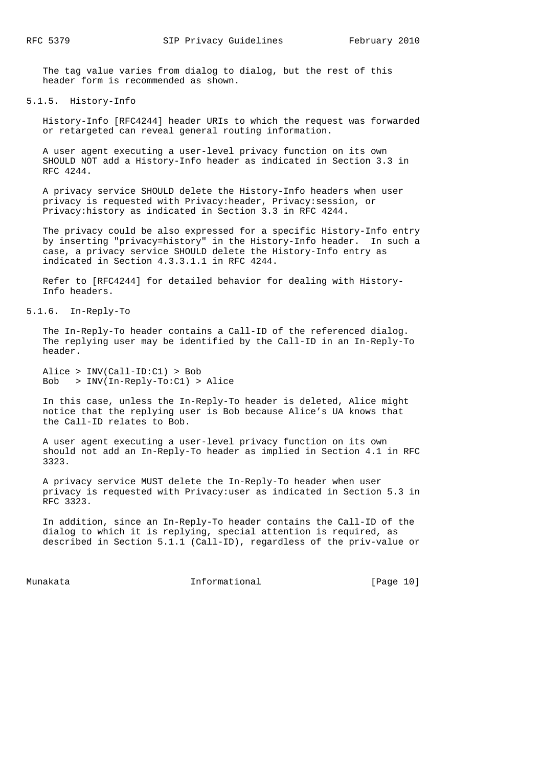The tag value varies from dialog to dialog, but the rest of this header form is recommended as shown.

#### 5.1.5. History-Info

 History-Info [RFC4244] header URIs to which the request was forwarded or retargeted can reveal general routing information.

 A user agent executing a user-level privacy function on its own SHOULD NOT add a History-Info header as indicated in Section 3.3 in RFC 4244.

 A privacy service SHOULD delete the History-Info headers when user privacy is requested with Privacy:header, Privacy:session, or Privacy:history as indicated in Section 3.3 in RFC 4244.

 The privacy could be also expressed for a specific History-Info entry by inserting "privacy=history" in the History-Info header. In such a case, a privacy service SHOULD delete the History-Info entry as indicated in Section 4.3.3.1.1 in RFC 4244.

 Refer to [RFC4244] for detailed behavior for dealing with History- Info headers.

# 5.1.6. In-Reply-To

 The In-Reply-To header contains a Call-ID of the referenced dialog. The replying user may be identified by the Call-ID in an In-Reply-To header.

 Alice > INV(Call-ID:C1) > Bob Bob > INV(In-Reply-To:C1) > Alice

 In this case, unless the In-Reply-To header is deleted, Alice might notice that the replying user is Bob because Alice's UA knows that the Call-ID relates to Bob.

 A user agent executing a user-level privacy function on its own should not add an In-Reply-To header as implied in Section 4.1 in RFC 3323.

 A privacy service MUST delete the In-Reply-To header when user privacy is requested with Privacy:user as indicated in Section 5.3 in RFC 3323.

 In addition, since an In-Reply-To header contains the Call-ID of the dialog to which it is replying, special attention is required, as described in Section 5.1.1 (Call-ID), regardless of the priv-value or

Munakata Informational [Page 10]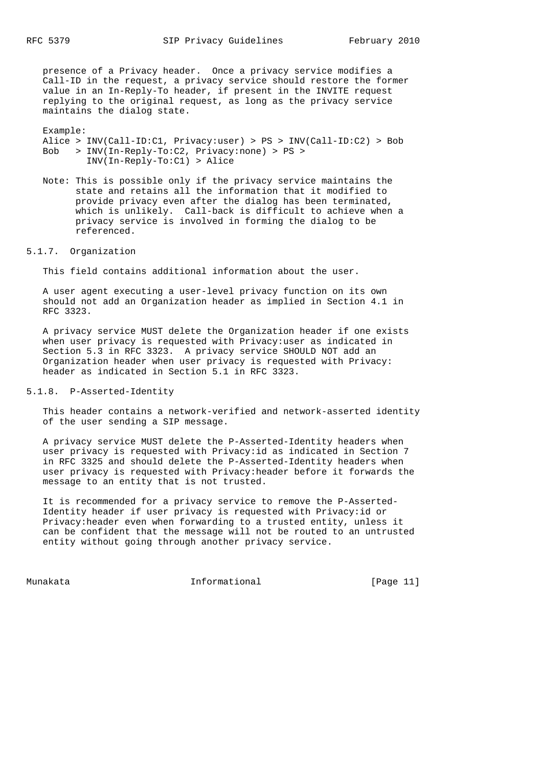presence of a Privacy header. Once a privacy service modifies a Call-ID in the request, a privacy service should restore the former value in an In-Reply-To header, if present in the INVITE request replying to the original request, as long as the privacy service maintains the dialog state.

 Example: Alice > INV(Call-ID:C1, Privacy:user) > PS > INV(Call-ID:C2) > Bob Bob > INV(In-Reply-To:C2, Privacy:none) > PS > INV(In-Reply-To:C1) > Alice

 Note: This is possible only if the privacy service maintains the state and retains all the information that it modified to provide privacy even after the dialog has been terminated, which is unlikely. Call-back is difficult to achieve when a privacy service is involved in forming the dialog to be referenced.

5.1.7. Organization

This field contains additional information about the user.

 A user agent executing a user-level privacy function on its own should not add an Organization header as implied in Section 4.1 in RFC 3323.

 A privacy service MUST delete the Organization header if one exists when user privacy is requested with Privacy:user as indicated in Section 5.3 in RFC 3323. A privacy service SHOULD NOT add an Organization header when user privacy is requested with Privacy: header as indicated in Section 5.1 in RFC 3323.

5.1.8. P-Asserted-Identity

 This header contains a network-verified and network-asserted identity of the user sending a SIP message.

 A privacy service MUST delete the P-Asserted-Identity headers when user privacy is requested with Privacy:id as indicated in Section 7 in RFC 3325 and should delete the P-Asserted-Identity headers when user privacy is requested with Privacy:header before it forwards the message to an entity that is not trusted.

 It is recommended for a privacy service to remove the P-Asserted- Identity header if user privacy is requested with Privacy:id or Privacy:header even when forwarding to a trusted entity, unless it can be confident that the message will not be routed to an untrusted entity without going through another privacy service.

Munakata Informational [Page 11]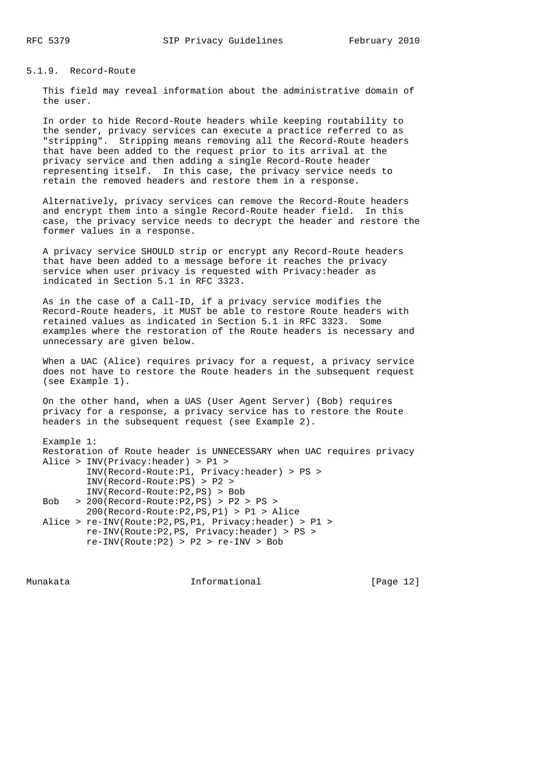# 5.1.9. Record-Route

 This field may reveal information about the administrative domain of the user.

 In order to hide Record-Route headers while keeping routability to the sender, privacy services can execute a practice referred to as "stripping". Stripping means removing all the Record-Route headers that have been added to the request prior to its arrival at the privacy service and then adding a single Record-Route header representing itself. In this case, the privacy service needs to retain the removed headers and restore them in a response.

 Alternatively, privacy services can remove the Record-Route headers and encrypt them into a single Record-Route header field. In this case, the privacy service needs to decrypt the header and restore the former values in a response.

 A privacy service SHOULD strip or encrypt any Record-Route headers that have been added to a message before it reaches the privacy service when user privacy is requested with Privacy:header as indicated in Section 5.1 in RFC 3323.

 As in the case of a Call-ID, if a privacy service modifies the Record-Route headers, it MUST be able to restore Route headers with retained values as indicated in Section 5.1 in RFC 3323. Some examples where the restoration of the Route headers is necessary and unnecessary are given below.

 When a UAC (Alice) requires privacy for a request, a privacy service does not have to restore the Route headers in the subsequent request (see Example 1).

 On the other hand, when a UAS (User Agent Server) (Bob) requires privacy for a response, a privacy service has to restore the Route headers in the subsequent request (see Example 2).

 Example 1: Restoration of Route header is UNNECESSARY when UAC requires privacy Alice > INV(Privacy:header) > P1 > INV(Record-Route:P1, Privacy:header) > PS > INV(Record-Route:PS) > P2 > INV(Record-Route:P2,PS) > Bob Bob > 200(Record-Route:P2,PS) > P2 > PS > 200(Record-Route:P2,PS,P1) > P1 > Alice Alice > re-INV(Route:P2,PS,P1, Privacy:header) > P1 > re-INV(Route:P2,PS, Privacy:header) > PS > re-INV(Route:P2) > P2 > re-INV > Bob

Munakata Informational [Page 12]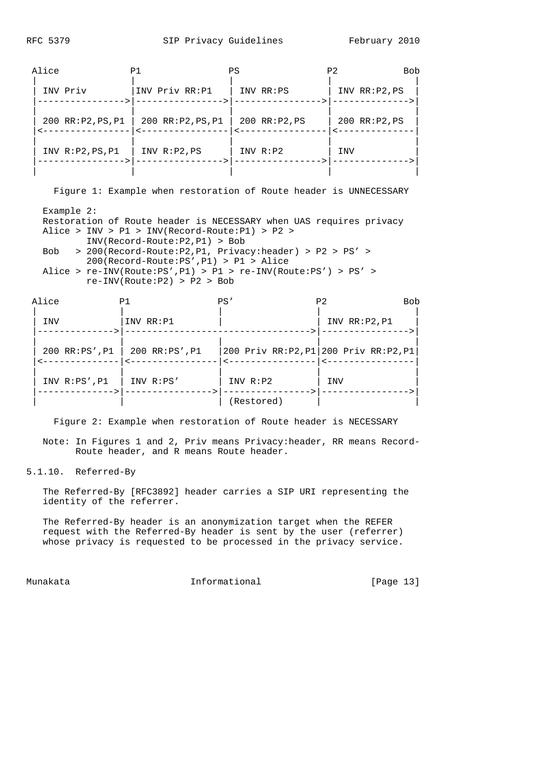| Alice              | P1                 | ΡS              | P <sub>2</sub><br><b>Bob</b> |
|--------------------|--------------------|-----------------|------------------------------|
| INV Priv           | INV Priv RR:P1     | INV RR:PS       | INV RR: P2, PS               |
| 200 RR: P2, PS, P1 | 200 RR: P2, PS, P1 | $200$ RR:P2, PS | $200$ RR:P2, PS              |
| INV R: P2, PS, P1  | INV R:P2, PS       | INV R:P2        | INV                          |
|                    |                    |                 |                              |

Figure 1: Example when restoration of Route header is UNNECESSARY

 Example 2: Restoration of Route header is NECESSARY when UAS requires privacy Alice > INV > P1 > INV(Record-Route:P1) > P2 > INV(Record-Route:P2,P1) > Bob Bob > 200(Record-Route:P2,P1, Privacy:header) > P2 > PS' > 200(Record-Route:PS',P1) > P1 > Alice Alice > re-INV(Route:PS',P1) > P1 > re-INV(Route:PS') > PS' > re-INV(Route:P2) > P2 > Bob

| Alice |                    | P1            | PS'        | P <sub>2</sub><br><b>Bob</b>          |  |
|-------|--------------------|---------------|------------|---------------------------------------|--|
|       | INV                | INV RR: P1    |            | INV RR: P2, P1                        |  |
|       | $200$ RR:PS', P1   | 200 RR:PS',P1 |            | 200 Priv RR:P2, P1 200 Priv RR:P2, P1 |  |
|       | INV $R:PS'$ , $P1$ | $INV$ $R:PS'$ | INV R:P2   | INV                                   |  |
|       |                    |               | (Restored) |                                       |  |

Figure 2: Example when restoration of Route header is NECESSARY

 Note: In Figures 1 and 2, Priv means Privacy:header, RR means Record- Route header, and R means Route header.

5.1.10. Referred-By

 The Referred-By [RFC3892] header carries a SIP URI representing the identity of the referrer.

 The Referred-By header is an anonymization target when the REFER request with the Referred-By header is sent by the user (referrer) whose privacy is requested to be processed in the privacy service.

Munakata Informational [Page 13]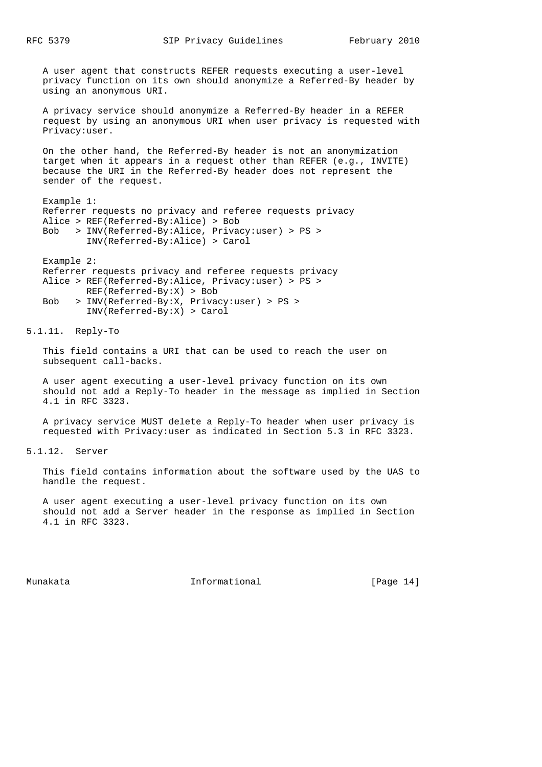A user agent that constructs REFER requests executing a user-level privacy function on its own should anonymize a Referred-By header by using an anonymous URI.

 A privacy service should anonymize a Referred-By header in a REFER request by using an anonymous URI when user privacy is requested with Privacy:user.

 On the other hand, the Referred-By header is not an anonymization target when it appears in a request other than REFER (e.g., INVITE) because the URI in the Referred-By header does not represent the sender of the request.

 Example 1: Referrer requests no privacy and referee requests privacy Alice > REF(Referred-By:Alice) > Bob Bob > INV(Referred-By:Alice, Privacy:user) > PS > INV(Referred-By:Alice) > Carol

 Example 2: Referrer requests privacy and referee requests privacy Alice > REF(Referred-By:Alice, Privacy:user) > PS > REF(Referred-By:X) > Bob Bob > INV(Referred-By:X, Privacy:user) > PS > INV(Referred-By:X) > Carol

5.1.11. Reply-To

 This field contains a URI that can be used to reach the user on subsequent call-backs.

 A user agent executing a user-level privacy function on its own should not add a Reply-To header in the message as implied in Section 4.1 in RFC 3323.

 A privacy service MUST delete a Reply-To header when user privacy is requested with Privacy:user as indicated in Section 5.3 in RFC 3323.

5.1.12. Server

 This field contains information about the software used by the UAS to handle the request.

 A user agent executing a user-level privacy function on its own should not add a Server header in the response as implied in Section 4.1 in RFC 3323.

Munakata Informational [Page 14]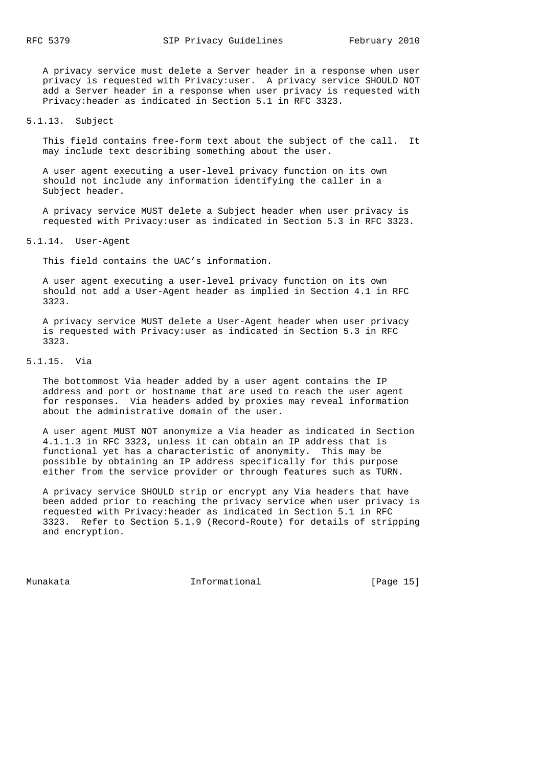A privacy service must delete a Server header in a response when user privacy is requested with Privacy:user. A privacy service SHOULD NOT add a Server header in a response when user privacy is requested with Privacy:header as indicated in Section 5.1 in RFC 3323.

5.1.13. Subject

 This field contains free-form text about the subject of the call. It may include text describing something about the user.

 A user agent executing a user-level privacy function on its own should not include any information identifying the caller in a Subject header.

 A privacy service MUST delete a Subject header when user privacy is requested with Privacy:user as indicated in Section 5.3 in RFC 3323.

5.1.14. User-Agent

This field contains the UAC's information.

 A user agent executing a user-level privacy function on its own should not add a User-Agent header as implied in Section 4.1 in RFC 3323.

 A privacy service MUST delete a User-Agent header when user privacy is requested with Privacy:user as indicated in Section 5.3 in RFC 3323.

5.1.15. Via

 The bottommost Via header added by a user agent contains the IP address and port or hostname that are used to reach the user agent for responses. Via headers added by proxies may reveal information about the administrative domain of the user.

 A user agent MUST NOT anonymize a Via header as indicated in Section 4.1.1.3 in RFC 3323, unless it can obtain an IP address that is functional yet has a characteristic of anonymity. This may be possible by obtaining an IP address specifically for this purpose either from the service provider or through features such as TURN.

 A privacy service SHOULD strip or encrypt any Via headers that have been added prior to reaching the privacy service when user privacy is requested with Privacy:header as indicated in Section 5.1 in RFC 3323. Refer to Section 5.1.9 (Record-Route) for details of stripping and encryption.

Munakata Informational [Page 15]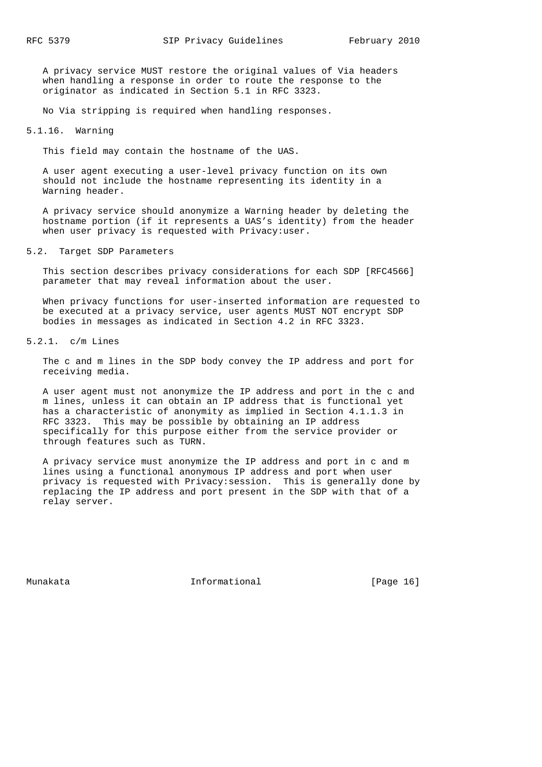A privacy service MUST restore the original values of Via headers when handling a response in order to route the response to the originator as indicated in Section 5.1 in RFC 3323.

No Via stripping is required when handling responses.

5.1.16. Warning

This field may contain the hostname of the UAS.

 A user agent executing a user-level privacy function on its own should not include the hostname representing its identity in a Warning header.

 A privacy service should anonymize a Warning header by deleting the hostname portion (if it represents a UAS's identity) from the header when user privacy is requested with Privacy:user.

5.2. Target SDP Parameters

 This section describes privacy considerations for each SDP [RFC4566] parameter that may reveal information about the user.

 When privacy functions for user-inserted information are requested to be executed at a privacy service, user agents MUST NOT encrypt SDP bodies in messages as indicated in Section 4.2 in RFC 3323.

5.2.1. c/m Lines

 The c and m lines in the SDP body convey the IP address and port for receiving media.

 A user agent must not anonymize the IP address and port in the c and m lines, unless it can obtain an IP address that is functional yet has a characteristic of anonymity as implied in Section 4.1.1.3 in RFC 3323. This may be possible by obtaining an IP address specifically for this purpose either from the service provider or through features such as TURN.

 A privacy service must anonymize the IP address and port in c and m lines using a functional anonymous IP address and port when user privacy is requested with Privacy:session. This is generally done by replacing the IP address and port present in the SDP with that of a relay server.

Munakata Informational [Page 16]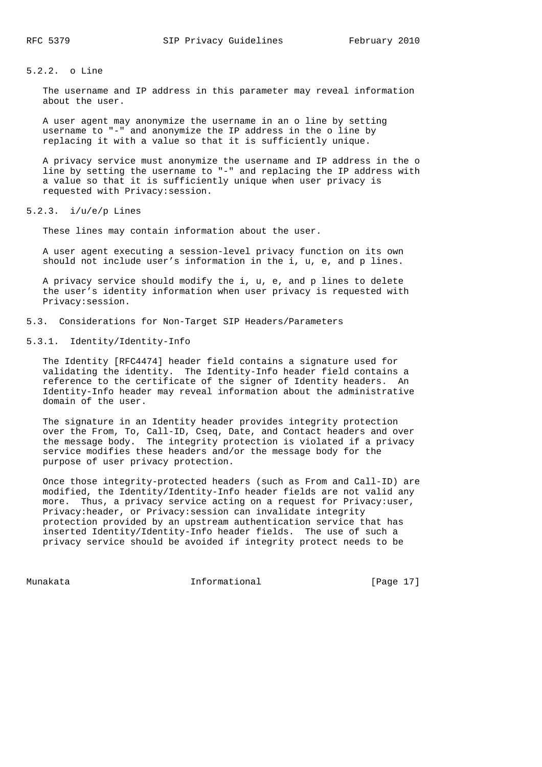# 5.2.2. o Line

 The username and IP address in this parameter may reveal information about the user.

 A user agent may anonymize the username in an o line by setting username to "-" and anonymize the IP address in the o line by replacing it with a value so that it is sufficiently unique.

 A privacy service must anonymize the username and IP address in the o line by setting the username to "-" and replacing the IP address with a value so that it is sufficiently unique when user privacy is requested with Privacy:session.

5.2.3.  $i/u/e/p$  Lines

These lines may contain information about the user.

 A user agent executing a session-level privacy function on its own should not include user's information in the i, u, e, and p lines.

 A privacy service should modify the i, u, e, and p lines to delete the user's identity information when user privacy is requested with Privacy:session.

5.3. Considerations for Non-Target SIP Headers/Parameters

5.3.1. Identity/Identity-Info

 The Identity [RFC4474] header field contains a signature used for validating the identity. The Identity-Info header field contains a reference to the certificate of the signer of Identity headers. An Identity-Info header may reveal information about the administrative domain of the user.

 The signature in an Identity header provides integrity protection over the From, To, Call-ID, Cseq, Date, and Contact headers and over the message body. The integrity protection is violated if a privacy service modifies these headers and/or the message body for the purpose of user privacy protection.

 Once those integrity-protected headers (such as From and Call-ID) are modified, the Identity/Identity-Info header fields are not valid any more. Thus, a privacy service acting on a request for Privacy:user, Privacy:header, or Privacy:session can invalidate integrity protection provided by an upstream authentication service that has inserted Identity/Identity-Info header fields. The use of such a privacy service should be avoided if integrity protect needs to be

Munakata Informational [Page 17]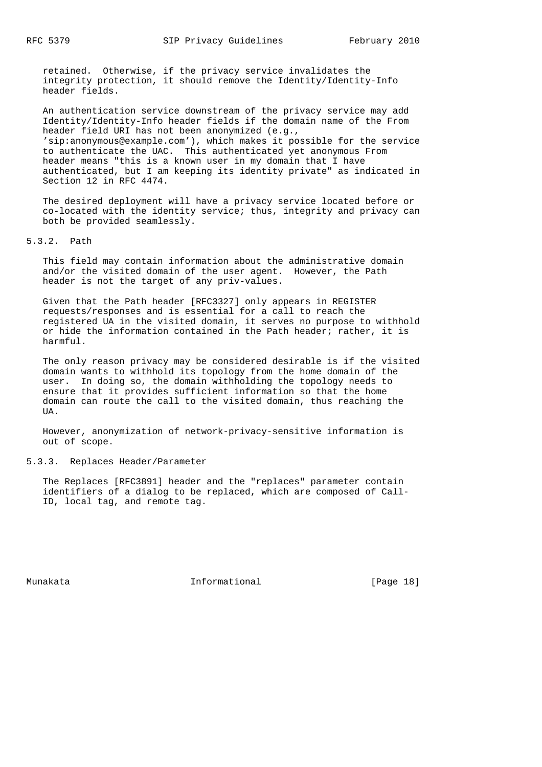retained. Otherwise, if the privacy service invalidates the integrity protection, it should remove the Identity/Identity-Info header fields.

 An authentication service downstream of the privacy service may add Identity/Identity-Info header fields if the domain name of the From header field URI has not been anonymized (e.g., 'sip:anonymous@example.com'), which makes it possible for the service to authenticate the UAC. This authenticated yet anonymous From header means "this is a known user in my domain that I have authenticated, but I am keeping its identity private" as indicated in Section 12 in RFC 4474.

 The desired deployment will have a privacy service located before or co-located with the identity service; thus, integrity and privacy can both be provided seamlessly.

5.3.2. Path

 This field may contain information about the administrative domain and/or the visited domain of the user agent. However, the Path header is not the target of any priv-values.

 Given that the Path header [RFC3327] only appears in REGISTER requests/responses and is essential for a call to reach the registered UA in the visited domain, it serves no purpose to withhold or hide the information contained in the Path header; rather, it is harmful.

 The only reason privacy may be considered desirable is if the visited domain wants to withhold its topology from the home domain of the user. In doing so, the domain withholding the topology needs to ensure that it provides sufficient information so that the home domain can route the call to the visited domain, thus reaching the **TTA** 

 However, anonymization of network-privacy-sensitive information is out of scope.

# 5.3.3. Replaces Header/Parameter

 The Replaces [RFC3891] header and the "replaces" parameter contain identifiers of a dialog to be replaced, which are composed of Call- ID, local tag, and remote tag.

Munakata Informational [Page 18]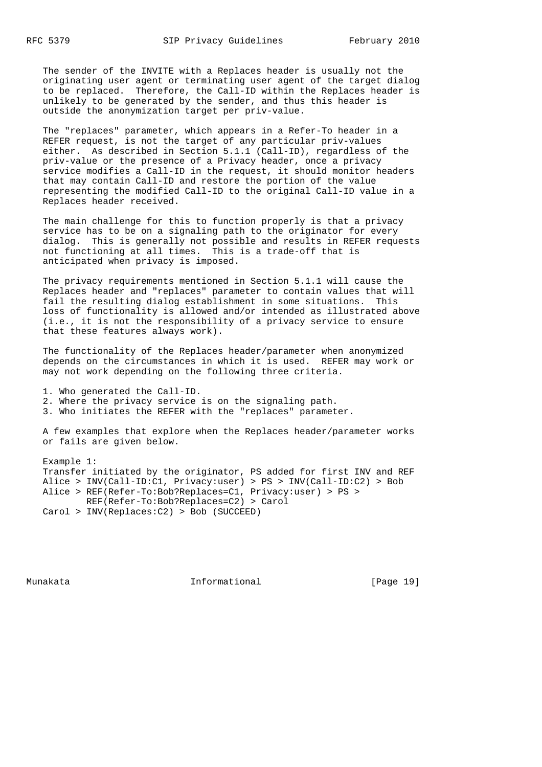The sender of the INVITE with a Replaces header is usually not the originating user agent or terminating user agent of the target dialog to be replaced. Therefore, the Call-ID within the Replaces header is unlikely to be generated by the sender, and thus this header is outside the anonymization target per priv-value.

 The "replaces" parameter, which appears in a Refer-To header in a REFER request, is not the target of any particular priv-values either. As described in Section 5.1.1 (Call-ID), regardless of the priv-value or the presence of a Privacy header, once a privacy service modifies a Call-ID in the request, it should monitor headers that may contain Call-ID and restore the portion of the value representing the modified Call-ID to the original Call-ID value in a Replaces header received.

 The main challenge for this to function properly is that a privacy service has to be on a signaling path to the originator for every dialog. This is generally not possible and results in REFER requests not functioning at all times. This is a trade-off that is anticipated when privacy is imposed.

 The privacy requirements mentioned in Section 5.1.1 will cause the Replaces header and "replaces" parameter to contain values that will fail the resulting dialog establishment in some situations. This loss of functionality is allowed and/or intended as illustrated above (i.e., it is not the responsibility of a privacy service to ensure that these features always work).

 The functionality of the Replaces header/parameter when anonymized depends on the circumstances in which it is used. REFER may work or may not work depending on the following three criteria.

 1. Who generated the Call-ID. 2. Where the privacy service is on the signaling path. 3. Who initiates the REFER with the "replaces" parameter.

 A few examples that explore when the Replaces header/parameter works or fails are given below.

 Example 1: Transfer initiated by the originator, PS added for first INV and REF Alice > INV(Call-ID:C1, Privacy:user) > PS > INV(Call-ID:C2) > Bob Alice > REF(Refer-To:Bob?Replaces=C1, Privacy:user) > PS > REF(Refer-To:Bob?Replaces=C2) > Carol Carol > INV(Replaces:C2) > Bob (SUCCEED)

Munakata Informational [Page 19]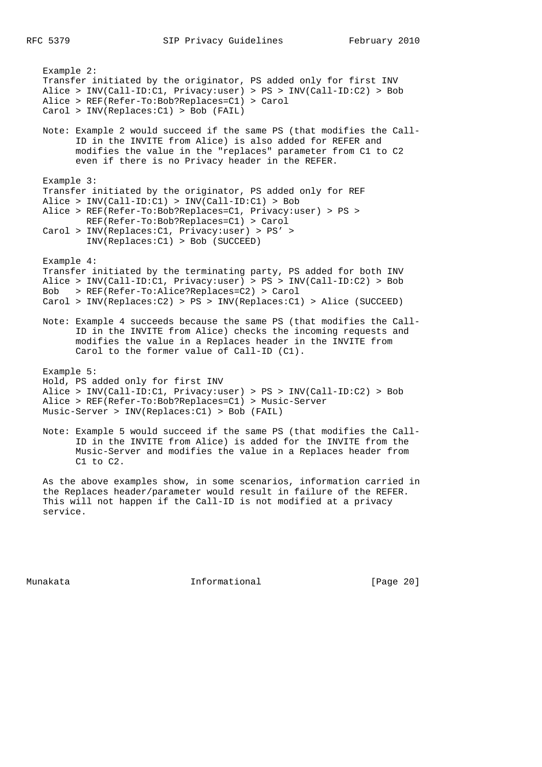Example 2: Transfer initiated by the originator, PS added only for first INV Alice > INV(Call-ID:C1, Privacy:user) > PS > INV(Call-ID:C2) > Bob Alice > REF(Refer-To:Bob?Replaces=C1) > Carol Carol > INV(Replaces:C1) > Bob (FAIL) Note: Example 2 would succeed if the same PS (that modifies the Call- ID in the INVITE from Alice) is also added for REFER and modifies the value in the "replaces" parameter from C1 to C2 even if there is no Privacy header in the REFER. Example 3: Transfer initiated by the originator, PS added only for REF Alice > INV(Call-ID:C1) > INV(Call-ID:C1) > Bob Alice > REF(Refer-To:Bob?Replaces=C1, Privacy:user) > PS > REF(Refer-To:Bob?Replaces=C1) > Carol Carol > INV(Replaces:C1, Privacy:user) > PS' > INV(Replaces:C1) > Bob (SUCCEED) Example 4: Transfer initiated by the terminating party, PS added for both INV Alice > INV(Call-ID:C1, Privacy:user) > PS > INV(Call-ID:C2) > Bob Bob > REF(Refer-To:Alice?Replaces=C2) > Carol Carol > INV(Replaces:C2) > PS > INV(Replaces:C1) > Alice (SUCCEED) Note: Example 4 succeeds because the same PS (that modifies the Call- ID in the INVITE from Alice) checks the incoming requests and modifies the value in a Replaces header in the INVITE from Carol to the former value of Call-ID (C1). Example 5: Hold, PS added only for first INV Alice > INV(Call-ID:C1, Privacy:user) > PS > INV(Call-ID:C2) > Bob Alice > REF(Refer-To:Bob?Replaces=C1) > Music-Server Music-Server > INV(Replaces:C1) > Bob (FAIL) Note: Example 5 would succeed if the same PS (that modifies the Call- ID in the INVITE from Alice) is added for the INVITE from the Music-Server and modifies the value in a Replaces header from C1 to C2. As the above examples show, in some scenarios, information carried in

 the Replaces header/parameter would result in failure of the REFER. This will not happen if the Call-ID is not modified at a privacy service.

Munakata Informational [Page 20]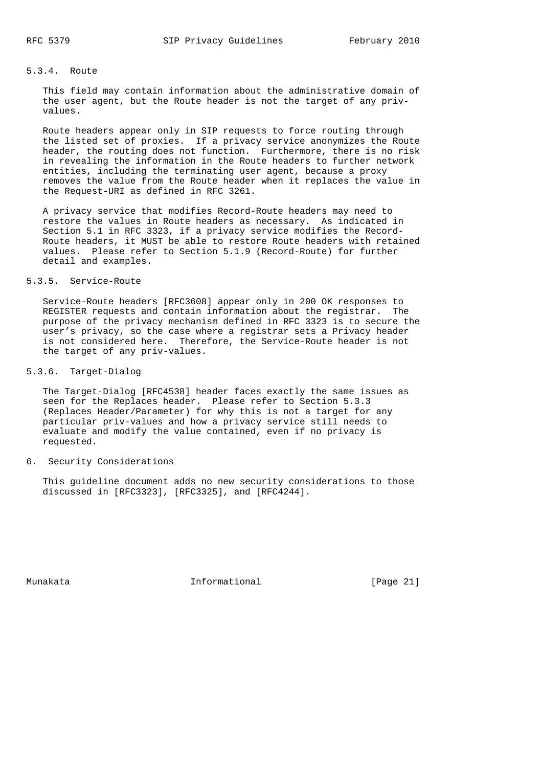# 5.3.4. Route

 This field may contain information about the administrative domain of the user agent, but the Route header is not the target of any priv values.

 Route headers appear only in SIP requests to force routing through the listed set of proxies. If a privacy service anonymizes the Route header, the routing does not function. Furthermore, there is no risk in revealing the information in the Route headers to further network entities, including the terminating user agent, because a proxy removes the value from the Route header when it replaces the value in the Request-URI as defined in RFC 3261.

 A privacy service that modifies Record-Route headers may need to restore the values in Route headers as necessary. As indicated in Section 5.1 in RFC 3323, if a privacy service modifies the Record- Route headers, it MUST be able to restore Route headers with retained values. Please refer to Section 5.1.9 (Record-Route) for further detail and examples.

# 5.3.5. Service-Route

 Service-Route headers [RFC3608] appear only in 200 OK responses to REGISTER requests and contain information about the registrar. The purpose of the privacy mechanism defined in RFC 3323 is to secure the user's privacy, so the case where a registrar sets a Privacy header is not considered here. Therefore, the Service-Route header is not the target of any priv-values.

### 5.3.6. Target-Dialog

 The Target-Dialog [RFC4538] header faces exactly the same issues as seen for the Replaces header. Please refer to Section 5.3.3 (Replaces Header/Parameter) for why this is not a target for any particular priv-values and how a privacy service still needs to evaluate and modify the value contained, even if no privacy is requested.

# 6. Security Considerations

 This guideline document adds no new security considerations to those discussed in [RFC3323], [RFC3325], and [RFC4244].

Munakata Informational [Page 21]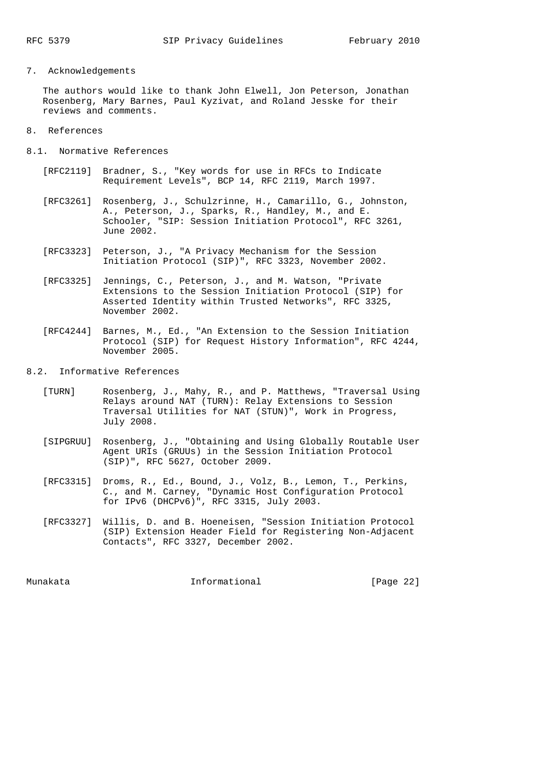# 7. Acknowledgements

 The authors would like to thank John Elwell, Jon Peterson, Jonathan Rosenberg, Mary Barnes, Paul Kyzivat, and Roland Jesske for their reviews and comments.

- 8. References
- 8.1. Normative References
	- [RFC2119] Bradner, S., "Key words for use in RFCs to Indicate Requirement Levels", BCP 14, RFC 2119, March 1997.
	- [RFC3261] Rosenberg, J., Schulzrinne, H., Camarillo, G., Johnston, A., Peterson, J., Sparks, R., Handley, M., and E. Schooler, "SIP: Session Initiation Protocol", RFC 3261, June 2002.
	- [RFC3323] Peterson, J., "A Privacy Mechanism for the Session Initiation Protocol (SIP)", RFC 3323, November 2002.
	- [RFC3325] Jennings, C., Peterson, J., and M. Watson, "Private Extensions to the Session Initiation Protocol (SIP) for Asserted Identity within Trusted Networks", RFC 3325, November 2002.
	- [RFC4244] Barnes, M., Ed., "An Extension to the Session Initiation Protocol (SIP) for Request History Information", RFC 4244, November 2005.
- 8.2. Informative References
	- [TURN] Rosenberg, J., Mahy, R., and P. Matthews, "Traversal Using Relays around NAT (TURN): Relay Extensions to Session Traversal Utilities for NAT (STUN)", Work in Progress, July 2008.
	- [SIPGRUU] Rosenberg, J., "Obtaining and Using Globally Routable User Agent URIs (GRUUs) in the Session Initiation Protocol (SIP)", RFC 5627, October 2009.
	- [RFC3315] Droms, R., Ed., Bound, J., Volz, B., Lemon, T., Perkins, C., and M. Carney, "Dynamic Host Configuration Protocol for IPv6 (DHCPv6)", RFC 3315, July 2003.
	- [RFC3327] Willis, D. and B. Hoeneisen, "Session Initiation Protocol (SIP) Extension Header Field for Registering Non-Adjacent Contacts", RFC 3327, December 2002.

Munakata Informational [Page 22]